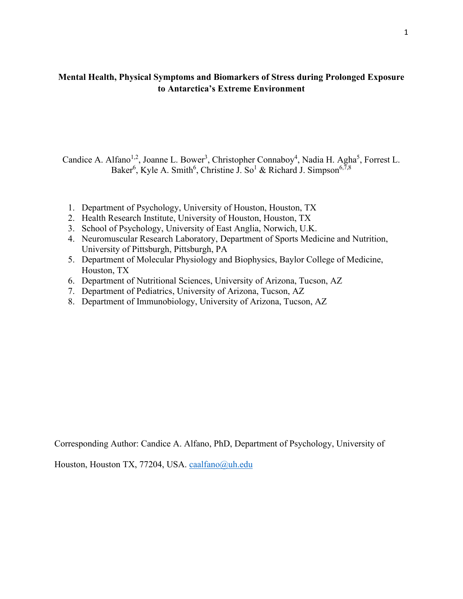## **Mental Health, Physical Symptoms and Biomarkers of Stress during Prolonged Exposure to Antarctica's Extreme Environment**

Candice A. Alfano<sup>1,2</sup>, Joanne L. Bower<sup>3</sup>, Christopher Connaboy<sup>4</sup>, Nadia H. Agha<sup>5</sup>, Forrest L. Baker<sup>6</sup>, Kyle A. Smith<sup>6</sup>, Christine J. So<sup>1</sup> & Richard J. Simpson<sup>6,7,8</sup>

- 1. Department of Psychology, University of Houston, Houston, TX
- 2. Health Research Institute, University of Houston, Houston, TX
- 3. School of Psychology, University of East Anglia, Norwich, U.K.
- 4. Neuromuscular Research Laboratory, Department of Sports Medicine and Nutrition, University of Pittsburgh, Pittsburgh, PA
- 5. Department of Molecular Physiology and Biophysics, Baylor College of Medicine, Houston, TX
- 6. Department of Nutritional Sciences, University of Arizona, Tucson, AZ
- 7. Department of Pediatrics, University of Arizona, Tucson, AZ
- 8. Department of Immunobiology, University of Arizona, Tucson, AZ

Corresponding Author: Candice A. Alfano, PhD, Department of Psychology, University of

Houston, Houston TX, 77204, USA. [caalfano@uh.edu](mailto:caalfano@uh.edu)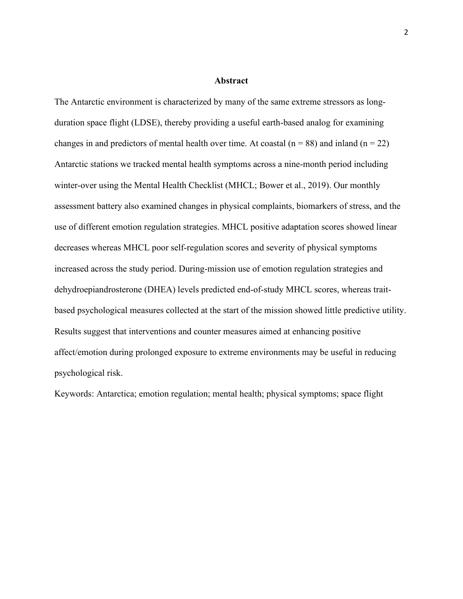#### **Abstract**

The Antarctic environment is characterized by many of the same extreme stressors as longduration space flight (LDSE), thereby providing a useful earth-based analog for examining changes in and predictors of mental health over time. At coastal ( $n = 88$ ) and inland ( $n = 22$ ) Antarctic stations we tracked mental health symptoms across a nine-month period including winter-over using the Mental Health Checklist (MHCL; Bower et al., 2019). Our monthly assessment battery also examined changes in physical complaints, biomarkers of stress, and the use of different emotion regulation strategies. MHCL positive adaptation scores showed linear decreases whereas MHCL poor self-regulation scores and severity of physical symptoms increased across the study period. During-mission use of emotion regulation strategies and dehydroepiandrosterone (DHEA) levels predicted end-of-study MHCL scores, whereas traitbased psychological measures collected at the start of the mission showed little predictive utility. Results suggest that interventions and counter measures aimed at enhancing positive affect/emotion during prolonged exposure to extreme environments may be useful in reducing psychological risk.

Keywords: Antarctica; emotion regulation; mental health; physical symptoms; space flight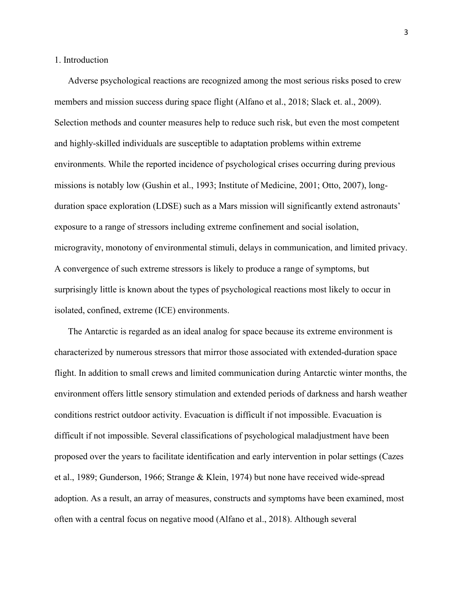## 1. Introduction

Adverse psychological reactions are recognized among the most serious risks posed to crew members and mission success during space flight (Alfano et al., 2018; Slack et. al., 2009). Selection methods and counter measures help to reduce such risk, but even the most competent and highly-skilled individuals are susceptible to adaptation problems within extreme environments. While the reported incidence of psychological crises occurring during previous missions is notably low (Gushin et al., 1993; Institute of Medicine, 2001; Otto, 2007), longduration space exploration (LDSE) such as a Mars mission will significantly extend astronauts' exposure to a range of stressors including extreme confinement and social isolation, microgravity, monotony of environmental stimuli, delays in communication, and limited privacy. A convergence of such extreme stressors is likely to produce a range of symptoms, but surprisingly little is known about the types of psychological reactions most likely to occur in isolated, confined, extreme (ICE) environments.

The Antarctic is regarded as an ideal analog for space because its extreme environment is characterized by numerous stressors that mirror those associated with extended-duration space flight. In addition to small crews and limited communication during Antarctic winter months, the environment offers little sensory stimulation and extended periods of darkness and harsh weather conditions restrict outdoor activity. Evacuation is difficult if not impossible. Evacuation is difficult if not impossible. Several classifications of psychological maladjustment have been proposed over the years to facilitate identification and early intervention in polar settings (Cazes et al., 1989; Gunderson, 1966; Strange & Klein, 1974) but none have received wide-spread adoption. As a result, an array of measures, constructs and symptoms have been examined, most often with a central focus on negative mood (Alfano et al., 2018). Although several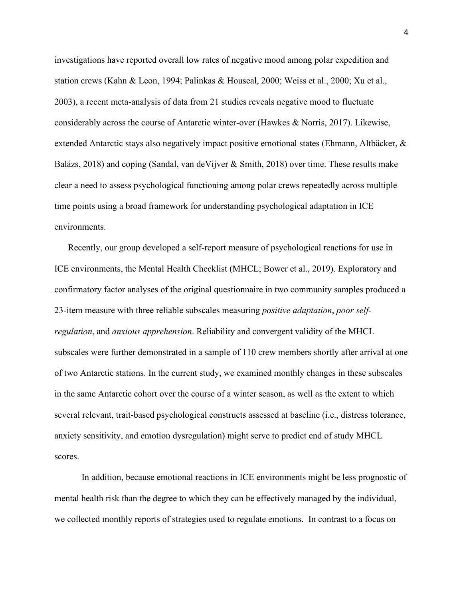investigations have reported overall low rates of negative mood among polar expedition and station crews (Kahn & Leon, 1994; Palinkas & Houseal, 2000; Weiss et al., 2000; Xu et al., 2003), a recent meta-analysis of data from 21 studies reveals negative mood to fluctuate considerably across the course of Antarctic winter-over (Hawkes & Norris, 2017). Likewise, extended Antarctic stays also negatively impact positive emotional states (Ehmann, Altbäcker, & Balázs, 2018) and coping (Sandal, van deVijver & Smith, 2018) over time. These results make clear a need to assess psychological functioning among polar crews repeatedly across multiple time points using a broad framework for understanding psychological adaptation in ICE environments.

Recently, our group developed a self-report measure of psychological reactions for use in ICE environments, the Mental Health Checklist (MHCL; Bower et al., 2019). Exploratory and confirmatory factor analyses of the original questionnaire in two community samples produced a 23-item measure with three reliable subscales measuring *positive adaptation*, *poor selfregulation*, and *anxious apprehension*. Reliability and convergent validity of the MHCL subscales were further demonstrated in a sample of 110 crew members shortly after arrival at one of two Antarctic stations. In the current study, we examined monthly changes in these subscales in the same Antarctic cohort over the course of a winter season, as well as the extent to which several relevant, trait-based psychological constructs assessed at baseline (i.e., distress tolerance, anxiety sensitivity, and emotion dysregulation) might serve to predict end of study MHCL scores.

In addition, because emotional reactions in ICE environments might be less prognostic of mental health risk than the degree to which they can be effectively managed by the individual, we collected monthly reports of strategies used to regulate emotions. In contrast to a focus on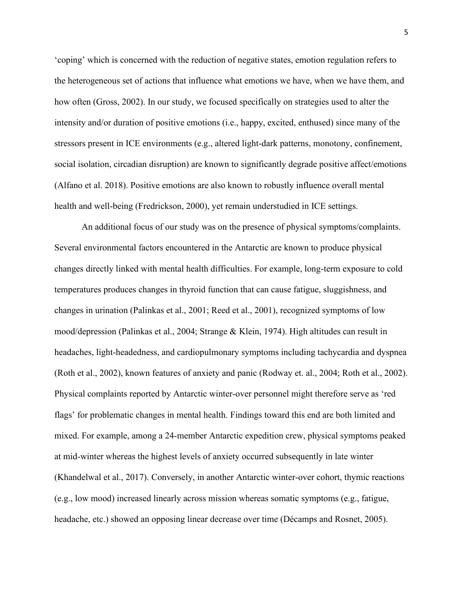'coping' which is concerned with the reduction of negative states, emotion regulation refers to the heterogeneous set of actions that influence what emotions we have, when we have them, and how often (Gross, 2002). In our study, we focused specifically on strategies used to alter the intensity and/or duration of positive emotions (i.e., happy, excited, enthused) since many of the stressors present in ICE environments (e.g., altered light-dark patterns, monotony, confinement, social isolation, circadian disruption) are known to significantly degrade positive affect/emotions (Alfano et al. 2018). Positive emotions are also known to robustly influence overall mental health and well-being (Fredrickson, 2000), yet remain understudied in ICE settings.

An additional focus of our study was on the presence of physical symptoms/complaints. Several environmental factors encountered in the Antarctic are known to produce physical changes directly linked with mental health difficulties. For example, long-term exposure to cold temperatures produces changes in thyroid function that can cause fatigue, sluggishness, and changes in urination (Palinkas et al., 2001; Reed et al., 2001), recognized symptoms of low mood/depression (Palinkas et al., 2004; Strange & Klein, 1974). High altitudes can result in headaches, light-headedness, and cardiopulmonary symptoms including tachycardia and dyspnea (Roth et al., 2002), known features of anxiety and panic (Rodway et. al., 2004; Roth et al., 2002). Physical complaints reported by Antarctic winter-over personnel might therefore serve as 'red flags' for problematic changes in mental health. Findings toward this end are both limited and mixed. For example, among a 24-member Antarctic expedition crew, physical symptoms peaked at mid-winter whereas the highest levels of anxiety occurred subsequently in late winter (Khandelwal et al., 2017). Conversely, in another Antarctic winter-over cohort, thymic reactions (e.g., low mood) increased linearly across mission whereas somatic symptoms (e.g., fatigue, headache, etc.) showed an opposing linear decrease over time (Décamps and Rosnet, 2005).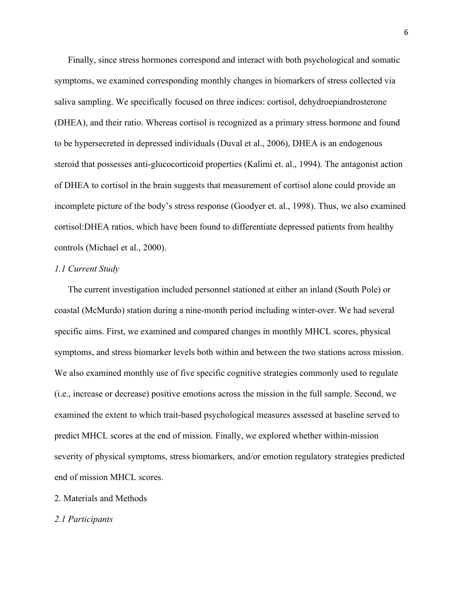Finally, since stress hormones correspond and interact with both psychological and somatic symptoms, we examined corresponding monthly changes in biomarkers of stress collected via saliva sampling. We specifically focused on three indices: cortisol, dehydroepiandrosterone (DHEA), and their ratio. Whereas cortisol is recognized as a primary stress hormone and found to be hypersecreted in depressed individuals (Duval et al., 2006), DHEA is an endogenous steroid that possesses anti-glucocorticoid properties (Kalimi et. al., 1994). The antagonist action of DHEA to cortisol in the brain suggests that measurement of cortisol alone could provide an incomplete picture of the body's stress response (Goodyer et. al., 1998). Thus, we also examined cortisol:DHEA ratios, which have been found to differentiate depressed patients from healthy controls (Michael et al., 2000).

#### *1.1 Current Study*

The current investigation included personnel stationed at either an inland (South Pole) or coastal (McMurdo) station during a nine-month period including winter-over. We had several specific aims. First, we examined and compared changes in monthly MHCL scores, physical symptoms, and stress biomarker levels both within and between the two stations across mission. We also examined monthly use of five specific cognitive strategies commonly used to regulate (i.e., increase or decrease) positive emotions across the mission in the full sample. Second, we examined the extent to which trait-based psychological measures assessed at baseline served to predict MHCL scores at the end of mission. Finally, we explored whether within-mission severity of physical symptoms, stress biomarkers, and/or emotion regulatory strategies predicted end of mission MHCL scores.

- 2. Materials and Methods
- *2.1 Participants*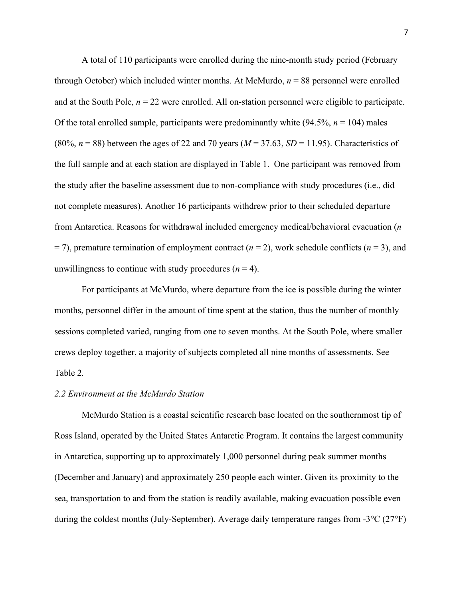A total of 110 participants were enrolled during the nine-month study period (February through October) which included winter months. At McMurdo,  $n = 88$  personnel were enrolled and at the South Pole,  $n = 22$  were enrolled. All on-station personnel were eligible to participate. Of the total enrolled sample, participants were predominantly white  $(94.5\%, n = 104)$  males (80%,  $n = 88$ ) between the ages of 22 and 70 years ( $M = 37.63$ ,  $SD = 11.95$ ). Characteristics of the full sample and at each station are displayed in Table 1. One participant was removed from the study after the baseline assessment due to non-compliance with study procedures (i.e., did not complete measures). Another 16 participants withdrew prior to their scheduled departure from Antarctica. Reasons for withdrawal included emergency medical/behavioral evacuation (*n*  $=$  7), premature termination of employment contract ( $n = 2$ ), work schedule conflicts ( $n = 3$ ), and unwillingness to continue with study procedures  $(n = 4)$ .

For participants at McMurdo, where departure from the ice is possible during the winter months, personnel differ in the amount of time spent at the station, thus the number of monthly sessions completed varied, ranging from one to seven months. At the South Pole, where smaller crews deploy together, a majority of subjects completed all nine months of assessments. See Table 2*.*

## *2.2 Environment at the McMurdo Station*

McMurdo Station is a coastal scientific research base located on the southernmost tip of Ross Island, operated by the United States Antarctic Program. It contains the largest community in Antarctica, supporting up to approximately 1,000 personnel during peak summer months (December and January) and approximately 250 people each winter. Given its proximity to the sea, transportation to and from the station is readily available, making evacuation possible even during the coldest months (July-September). Average daily temperature ranges from -3°C (27°F)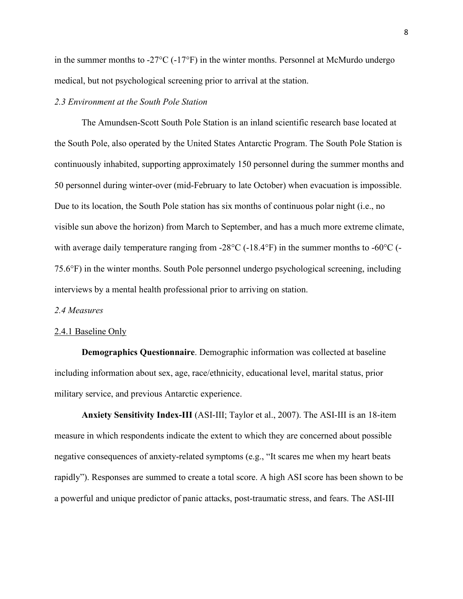in the summer months to  $-27^{\circ}\text{C}$  ( $-17^{\circ}\text{F}$ ) in the winter months. Personnel at McMurdo undergo medical, but not psychological screening prior to arrival at the station.

## *2.3 Environment at the South Pole Station*

The Amundsen-Scott South Pole Station is an inland scientific research base located at the South Pole, also operated by the United States Antarctic Program. The South Pole Station is continuously inhabited, supporting approximately 150 personnel during the summer months and 50 personnel during winter-over (mid-February to late October) when evacuation is impossible. Due to its location, the South Pole station has six months of continuous polar night (i.e., no visible sun above the horizon) from March to September, and has a much more extreme climate, with average daily temperature ranging from -28 $\rm ^{\circ}C$  (-18.4 $\rm ^{\circ}F$ ) in the summer months to -60 $\rm ^{\circ}C$  (-75.6°F) in the winter months. South Pole personnel undergo psychological screening, including interviews by a mental health professional prior to arriving on station.

## *2.4 Measures*

#### 2.4.1 Baseline Only

**Demographics Questionnaire**. Demographic information was collected at baseline including information about sex, age, race/ethnicity, educational level, marital status, prior military service, and previous Antarctic experience.

**Anxiety Sensitivity Index-III** (ASI-III; Taylor et al., 2007). The ASI-III is an 18-item measure in which respondents indicate the extent to which they are concerned about possible negative consequences of anxiety-related symptoms (e.g., "It scares me when my heart beats rapidly"). Responses are summed to create a total score. A high ASI score has been shown to be a powerful and unique predictor of panic attacks, post-traumatic stress, and fears. The ASI-III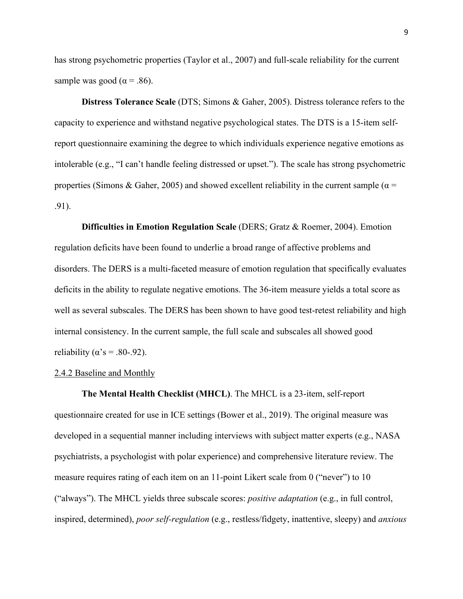has strong psychometric properties (Taylor et al., 2007) and full-scale reliability for the current sample was good ( $\alpha$  = .86).

**Distress Tolerance Scale** (DTS; Simons & Gaher, 2005). Distress tolerance refers to the capacity to experience and withstand negative psychological states. The DTS is a 15-item selfreport questionnaire examining the degree to which individuals experience negative emotions as intolerable (e.g., "I can't handle feeling distressed or upset."). The scale has strong psychometric properties (Simons & Gaher, 2005) and showed excellent reliability in the current sample ( $\alpha$  = .91).

**Difficulties in Emotion Regulation Scale** (DERS; Gratz & Roemer, 2004). Emotion regulation deficits have been found to underlie a broad range of affective problems and disorders. The DERS is a multi-faceted measure of emotion regulation that specifically evaluates deficits in the ability to regulate negative emotions. The 36-item measure yields a total score as well as several subscales. The DERS has been shown to have good test-retest reliability and high internal consistency. In the current sample, the full scale and subscales all showed good reliability ( $\alpha$ 's = .80-.92).

#### 2.4.2 Baseline and Monthly

**The Mental Health Checklist (MHCL)**. The MHCL is a 23-item, self-report questionnaire created for use in ICE settings (Bower et al., 2019). The original measure was developed in a sequential manner including interviews with subject matter experts (e.g., NASA psychiatrists, a psychologist with polar experience) and comprehensive literature review. The measure requires rating of each item on an 11-point Likert scale from 0 ("never") to 10 ("always"). The MHCL yields three subscale scores: *positive adaptation* (e.g., in full control, inspired, determined), *poor self-regulation* (e.g., restless/fidgety, inattentive, sleepy) and *anxious*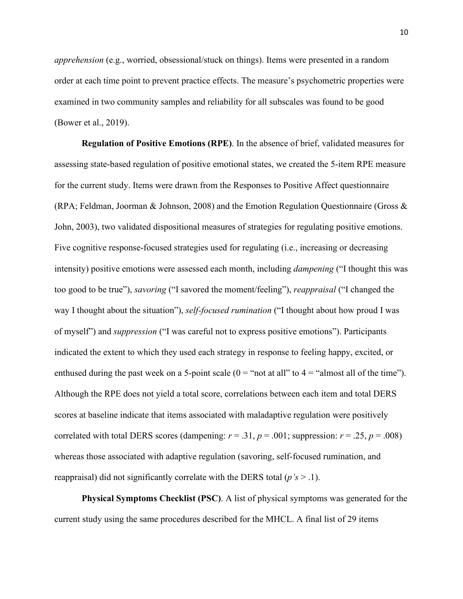*apprehension* (e.g., worried, obsessional/stuck on things). Items were presented in a random order at each time point to prevent practice effects. The measure's psychometric properties were examined in two community samples and reliability for all subscales was found to be good (Bower et al., 2019).

**Regulation of Positive Emotions (RPE)**. In the absence of brief, validated measures for assessing state-based regulation of positive emotional states, we created the 5-item RPE measure for the current study. Items were drawn from the Responses to Positive Affect questionnaire (RPA; Feldman, Joorman & Johnson, 2008) and the Emotion Regulation Questionnaire (Gross & John, 2003), two validated dispositional measures of strategies for regulating positive emotions. Five cognitive response-focused strategies used for regulating (i.e., increasing or decreasing intensity) positive emotions were assessed each month, including *dampening* ("I thought this was too good to be true"), *savoring* ("I savored the moment/feeling"), *reappraisal* ("I changed the way I thought about the situation"), *self-focused rumination* ("I thought about how proud I was of myself") and *suppression* ("I was careful not to express positive emotions"). Participants indicated the extent to which they used each strategy in response to feeling happy, excited, or enthused during the past week on a 5-point scale  $(0 = "not at all" to 4 = "almost all of the time").$ Although the RPE does not yield a total score, correlations between each item and total DERS scores at baseline indicate that items associated with maladaptive regulation were positively correlated with total DERS scores (dampening:  $r = .31$ ,  $p = .001$ ; suppression:  $r = .25$ ,  $p = .008$ ) whereas those associated with adaptive regulation (savoring, self-focused rumination, and reappraisal) did not significantly correlate with the DERS total (*p's* > .1).

**Physical Symptoms Checklist (PSC)**. A list of physical symptoms was generated for the current study using the same procedures described for the MHCL. A final list of 29 items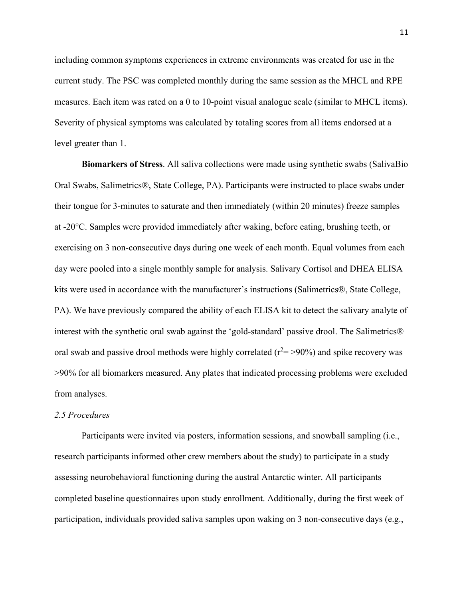including common symptoms experiences in extreme environments was created for use in the current study. The PSC was completed monthly during the same session as the MHCL and RPE measures. Each item was rated on a 0 to 10-point visual analogue scale (similar to MHCL items). Severity of physical symptoms was calculated by totaling scores from all items endorsed at a level greater than 1.

**Biomarkers of Stress**. All saliva collections were made using synthetic swabs (SalivaBio Oral Swabs, Salimetrics®, State College, PA). Participants were instructed to place swabs under their tongue for 3-minutes to saturate and then immediately (within 20 minutes) freeze samples at -20°C. Samples were provided immediately after waking, before eating, brushing teeth, or exercising on 3 non-consecutive days during one week of each month. Equal volumes from each day were pooled into a single monthly sample for analysis. Salivary Cortisol and DHEA ELISA kits were used in accordance with the manufacturer's instructions (Salimetrics®, State College, PA). We have previously compared the ability of each ELISA kit to detect the salivary analyte of interest with the synthetic oral swab against the 'gold-standard' passive drool. The Salimetrics® oral swab and passive drool methods were highly correlated ( $r^2$  = >90%) and spike recovery was >90% for all biomarkers measured. Any plates that indicated processing problems were excluded from analyses.

## *2.5 Procedures*

Participants were invited via posters, information sessions, and snowball sampling (i.e., research participants informed other crew members about the study) to participate in a study assessing neurobehavioral functioning during the austral Antarctic winter. All participants completed baseline questionnaires upon study enrollment. Additionally, during the first week of participation, individuals provided saliva samples upon waking on 3 non-consecutive days (e.g.,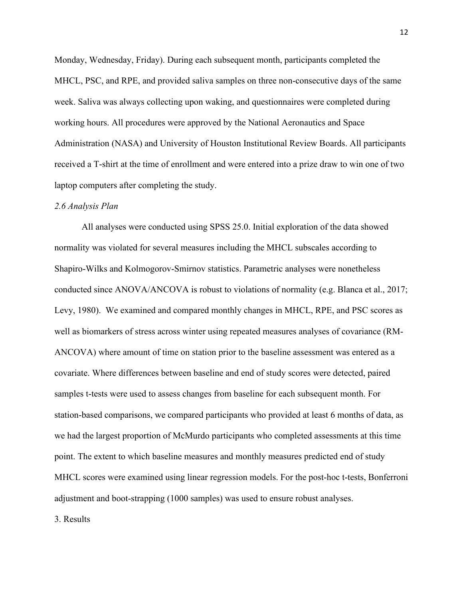Monday, Wednesday, Friday). During each subsequent month, participants completed the MHCL, PSC, and RPE, and provided saliva samples on three non-consecutive days of the same week. Saliva was always collecting upon waking, and questionnaires were completed during working hours. All procedures were approved by the National Aeronautics and Space Administration (NASA) and University of Houston Institutional Review Boards. All participants received a T-shirt at the time of enrollment and were entered into a prize draw to win one of two laptop computers after completing the study.

#### *2.6 Analysis Plan*

All analyses were conducted using SPSS 25.0. Initial exploration of the data showed normality was violated for several measures including the MHCL subscales according to Shapiro-Wilks and Kolmogorov-Smirnov statistics. Parametric analyses were nonetheless conducted since ANOVA/ANCOVA is robust to violations of normality (e.g. Blanca et al., 2017; Levy, 1980). We examined and compared monthly changes in MHCL, RPE, and PSC scores as well as biomarkers of stress across winter using repeated measures analyses of covariance (RM-ANCOVA) where amount of time on station prior to the baseline assessment was entered as a covariate. Where differences between baseline and end of study scores were detected, paired samples t-tests were used to assess changes from baseline for each subsequent month. For station-based comparisons, we compared participants who provided at least 6 months of data, as we had the largest proportion of McMurdo participants who completed assessments at this time point. The extent to which baseline measures and monthly measures predicted end of study MHCL scores were examined using linear regression models. For the post-hoc t-tests, Bonferroni adjustment and boot-strapping (1000 samples) was used to ensure robust analyses.

3. Results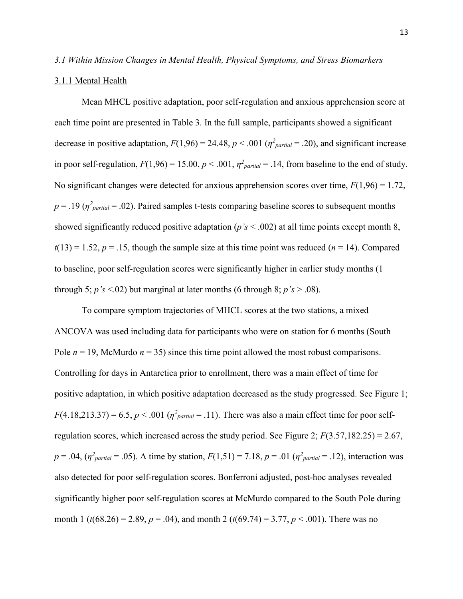### *3.1 Within Mission Changes in Mental Health, Physical Symptoms, and Stress Biomarkers*

#### 3.1.1 Mental Health

Mean MHCL positive adaptation, poor self-regulation and anxious apprehension score at each time point are presented in Table 3. In the full sample, participants showed a significant decrease in positive adaptation,  $F(1,96) = 24.48$ ,  $p < .001$  ( $\eta^2_{partial} = .20$ ), and significant increase in poor self-regulation,  $F(1,96) = 15.00$ ,  $p < .001$ ,  $\eta^2_{partial} = .14$ , from baseline to the end of study. No significant changes were detected for anxious apprehension scores over time,  $F(1,96) = 1.72$ ,  $p = .19$  ( $\eta^2$ <sub>partial</sub> = .02). Paired samples t-tests comparing baseline scores to subsequent months showed significantly reduced positive adaptation (*p's* < .002) at all time points except month 8,  $t(13) = 1.52, p = .15$ , though the sample size at this time point was reduced ( $n = 14$ ). Compared to baseline, poor self-regulation scores were significantly higher in earlier study months (1 through 5;  $p's$  <.02) but marginal at later months (6 through 8;  $p's$  > .08).

To compare symptom trajectories of MHCL scores at the two stations, a mixed ANCOVA was used including data for participants who were on station for 6 months (South Pole  $n = 19$ , McMurdo  $n = 35$ ) since this time point allowed the most robust comparisons. Controlling for days in Antarctica prior to enrollment, there was a main effect of time for positive adaptation, in which positive adaptation decreased as the study progressed. See Figure 1;  $F(4.18,213.37) = 6.5, p < .001 (n<sup>2</sup>$ <sub>partial</sub> = .11). There was also a main effect time for poor selfregulation scores, which increased across the study period. See Figure 2; *F*(3.57,182.25) = 2.67,  $p = .04$ ,  $(\eta^2_{partial} = .05)$ . A time by station,  $F(1,51) = 7.18$ ,  $p = .01$   $(\eta^2_{partial} = .12)$ , interaction was also detected for poor self-regulation scores. Bonferroni adjusted, post-hoc analyses revealed significantly higher poor self-regulation scores at McMurdo compared to the South Pole during month 1 (*t*(68.26) = 2.89, *p* = .04), and month 2 (*t*(69.74) = 3.77, *p* < .001). There was no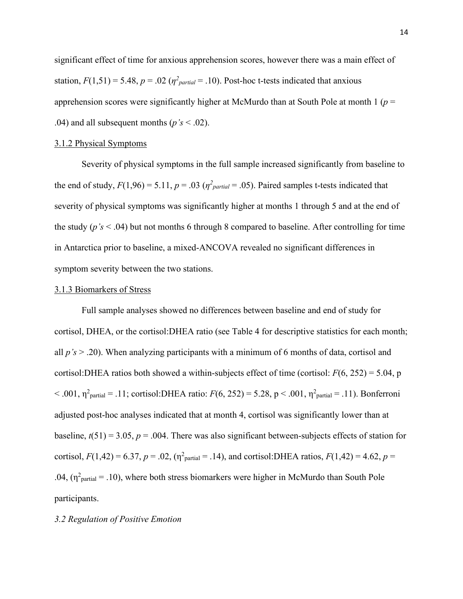significant effect of time for anxious apprehension scores, however there was a main effect of station,  $F(1,51) = 5.48$ ,  $p = .02$  ( $\eta^2$ <sub>partial</sub> = .10). Post-hoc t-tests indicated that anxious apprehension scores were significantly higher at McMurdo than at South Pole at month 1 (*p* = .04) and all subsequent months (*p's* < .02).

#### 3.1.2 Physical Symptoms

Severity of physical symptoms in the full sample increased significantly from baseline to the end of study,  $F(1,96) = 5.11$ ,  $p = .03$  ( $\eta^2_{partial} = .05$ ). Paired samples t-tests indicated that severity of physical symptoms was significantly higher at months 1 through 5 and at the end of the study (*p's* < .04) but not months 6 through 8 compared to baseline. After controlling for time in Antarctica prior to baseline, a mixed-ANCOVA revealed no significant differences in symptom severity between the two stations.

#### 3.1.3 Biomarkers of Stress

Full sample analyses showed no differences between baseline and end of study for cortisol, DHEA, or the cortisol:DHEA ratio (see Table 4 for descriptive statistics for each month; all *p's* > .20). When analyzing participants with a minimum of 6 months of data, cortisol and cortisol:DHEA ratios both showed a within-subjects effect of time (cortisol: *F*(6, 252) = 5.04, p < .001,  $η<sup>2</sup><sub>partial</sub> = .11$ ; cortisol:DHEA ratio: *F*(6, 252) = 5.28, p < .001,  $η<sup>2</sup><sub>partial</sub> = .11$ ). Bonferroni adjusted post-hoc analyses indicated that at month 4, cortisol was significantly lower than at baseline,  $t(51) = 3.05$ ,  $p = .004$ . There was also significant between-subjects effects of station for cortisol,  $F(1,42) = 6.37$ ,  $p = .02$ ,  $(\eta^2_{\text{partial}} = .14)$ , and cortisol:DHEA ratios,  $F(1,42) = 4.62$ ,  $p =$ .04,  $(\eta^2_{\text{partial}} = .10)$ , where both stress biomarkers were higher in McMurdo than South Pole participants.

#### *3.2 Regulation of Positive Emotion*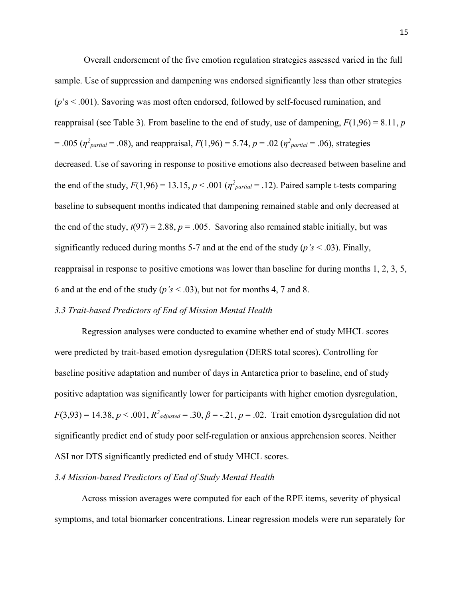Overall endorsement of the five emotion regulation strategies assessed varied in the full sample. Use of suppression and dampening was endorsed significantly less than other strategies (*p*'s < .001). Savoring was most often endorsed, followed by self-focused rumination, and reappraisal (see Table 3). From baseline to the end of study, use of dampening,  $F(1,96) = 8.11$ , *p*  $= .005$  ( $\eta^2_{partial} = .08$ ), and reappraisal,  $F(1,96) = 5.74$ ,  $p = .02$  ( $\eta^2_{partial} = .06$ ), strategies decreased. Use of savoring in response to positive emotions also decreased between baseline and the end of the study,  $F(1,96) = 13.15$ ,  $p < .001$  ( $\eta^2_{partial} = .12$ ). Paired sample t-tests comparing baseline to subsequent months indicated that dampening remained stable and only decreased at the end of the study,  $t(97) = 2.88$ ,  $p = .005$ . Savoring also remained stable initially, but was significantly reduced during months 5-7 and at the end of the study (*p's* < .03). Finally, reappraisal in response to positive emotions was lower than baseline for during months 1, 2, 3, 5, 6 and at the end of the study  $(p's < .03)$ , but not for months 4, 7 and 8.

## *3.3 Trait-based Predictors of End of Mission Mental Health*

Regression analyses were conducted to examine whether end of study MHCL scores were predicted by trait-based emotion dysregulation (DERS total scores). Controlling for baseline positive adaptation and number of days in Antarctica prior to baseline, end of study positive adaptation was significantly lower for participants with higher emotion dysregulation,  $F(3,93) = 14.38, p < .001, R<sup>2</sup>$  *adjusted* = .30,  $\beta$  = -.21,  $p = .02$ . Trait emotion dysregulation did not significantly predict end of study poor self-regulation or anxious apprehension scores. Neither ASI nor DTS significantly predicted end of study MHCL scores.

## *3.4 Mission-based Predictors of End of Study Mental Health*

Across mission averages were computed for each of the RPE items, severity of physical symptoms, and total biomarker concentrations. Linear regression models were run separately for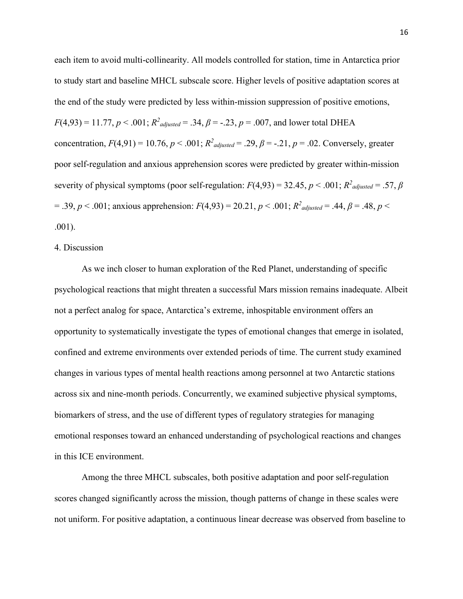each item to avoid multi-collinearity. All models controlled for station, time in Antarctica prior to study start and baseline MHCL subscale score. Higher levels of positive adaptation scores at the end of the study were predicted by less within-mission suppression of positive emotions,  $F(4,93) = 11.77, p < .001; R<sup>2</sup>$  *adjusted* = .34,  $\beta$  = -.23,  $p = .007$ , and lower total DHEA concentration,  $F(4,91) = 10.76$ ,  $p < .001$ ;  $R^2_{adjusted} = .29$ ,  $\beta = -.21$ ,  $p = .02$ . Conversely, greater poor self-regulation and anxious apprehension scores were predicted by greater within-mission severity of physical symptoms (poor self-regulation:  $F(4,93) = 32.45$ ,  $p < .001$ ;  $R^2_{adjusted} = .57$ ,  $\beta$  $=$  .39,  $p < .001$ ; anxious apprehension:  $F(4,93) = 20.21, p < .001$ ;  $R^2$ <sub>adjusted</sub> = .44,  $\beta$  = .48,  $p < .001$ ; .001).

## 4. Discussion

As we inch closer to human exploration of the Red Planet, understanding of specific psychological reactions that might threaten a successful Mars mission remains inadequate. Albeit not a perfect analog for space, Antarctica's extreme, inhospitable environment offers an opportunity to systematically investigate the types of emotional changes that emerge in isolated, confined and extreme environments over extended periods of time. The current study examined changes in various types of mental health reactions among personnel at two Antarctic stations across six and nine-month periods. Concurrently, we examined subjective physical symptoms, biomarkers of stress, and the use of different types of regulatory strategies for managing emotional responses toward an enhanced understanding of psychological reactions and changes in this ICE environment.

Among the three MHCL subscales, both positive adaptation and poor self-regulation scores changed significantly across the mission, though patterns of change in these scales were not uniform. For positive adaptation, a continuous linear decrease was observed from baseline to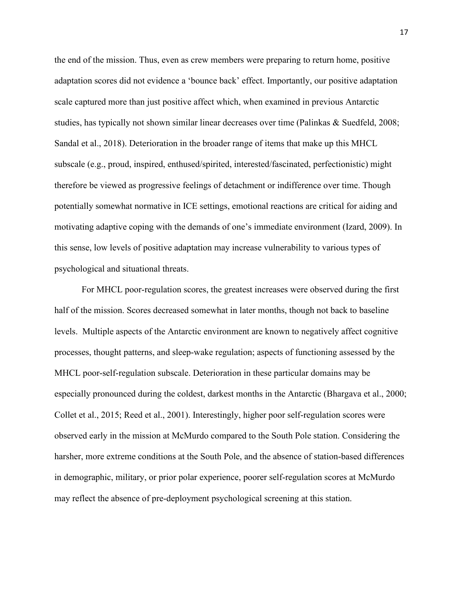the end of the mission. Thus, even as crew members were preparing to return home, positive adaptation scores did not evidence a 'bounce back' effect. Importantly, our positive adaptation scale captured more than just positive affect which, when examined in previous Antarctic studies, has typically not shown similar linear decreases over time (Palinkas & Suedfeld, 2008; Sandal et al., 2018). Deterioration in the broader range of items that make up this MHCL subscale (e.g., proud, inspired, enthused/spirited, interested/fascinated, perfectionistic) might therefore be viewed as progressive feelings of detachment or indifference over time. Though potentially somewhat normative in ICE settings, emotional reactions are critical for aiding and motivating adaptive coping with the demands of one's immediate environment (Izard, 2009). In this sense, low levels of positive adaptation may increase vulnerability to various types of psychological and situational threats.

For MHCL poor-regulation scores, the greatest increases were observed during the first half of the mission. Scores decreased somewhat in later months, though not back to baseline levels. Multiple aspects of the Antarctic environment are known to negatively affect cognitive processes, thought patterns, and sleep-wake regulation; aspects of functioning assessed by the MHCL poor-self-regulation subscale. Deterioration in these particular domains may be especially pronounced during the coldest, darkest months in the Antarctic (Bhargava et al., 2000; Collet et al., 2015; Reed et al., 2001). Interestingly, higher poor self-regulation scores were observed early in the mission at McMurdo compared to the South Pole station. Considering the harsher, more extreme conditions at the South Pole, and the absence of station-based differences in demographic, military, or prior polar experience, poorer self-regulation scores at McMurdo may reflect the absence of pre-deployment psychological screening at this station.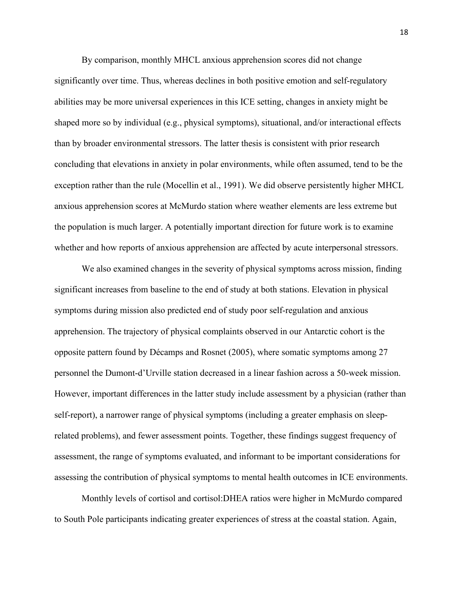By comparison, monthly MHCL anxious apprehension scores did not change significantly over time. Thus, whereas declines in both positive emotion and self-regulatory abilities may be more universal experiences in this ICE setting, changes in anxiety might be shaped more so by individual (e.g., physical symptoms), situational, and/or interactional effects than by broader environmental stressors. The latter thesis is consistent with prior research concluding that elevations in anxiety in polar environments, while often assumed, tend to be the exception rather than the rule (Mocellin et al., 1991). We did observe persistently higher MHCL anxious apprehension scores at McMurdo station where weather elements are less extreme but the population is much larger. A potentially important direction for future work is to examine whether and how reports of anxious apprehension are affected by acute interpersonal stressors.

We also examined changes in the severity of physical symptoms across mission, finding significant increases from baseline to the end of study at both stations. Elevation in physical symptoms during mission also predicted end of study poor self-regulation and anxious apprehension. The trajectory of physical complaints observed in our Antarctic cohort is the opposite pattern found by Décamps and Rosnet (2005), where somatic symptoms among 27 personnel the Dumont-d'Urville station decreased in a linear fashion across a 50-week mission. However, important differences in the latter study include assessment by a physician (rather than self-report), a narrower range of physical symptoms (including a greater emphasis on sleeprelated problems), and fewer assessment points. Together, these findings suggest frequency of assessment, the range of symptoms evaluated, and informant to be important considerations for assessing the contribution of physical symptoms to mental health outcomes in ICE environments.

Monthly levels of cortisol and cortisol:DHEA ratios were higher in McMurdo compared to South Pole participants indicating greater experiences of stress at the coastal station. Again,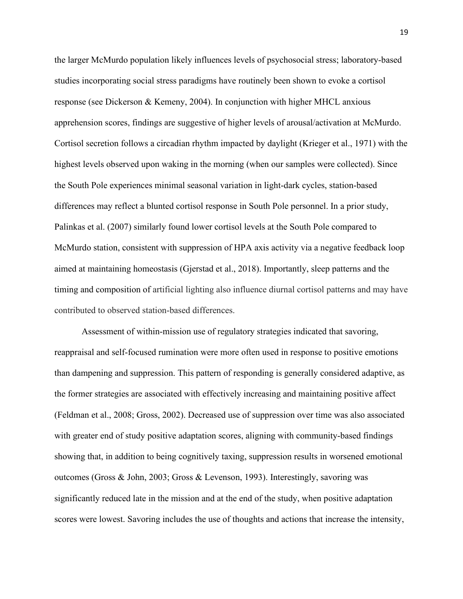the larger McMurdo population likely influences levels of psychosocial stress; laboratory-based studies incorporating social stress paradigms have routinely been shown to evoke a cortisol response (see Dickerson & Kemeny, 2004). In conjunction with higher MHCL anxious apprehension scores, findings are suggestive of higher levels of arousal/activation at McMurdo. Cortisol secretion follows a circadian rhythm impacted by daylight (Krieger et al., 1971) with the highest levels observed upon waking in the morning (when our samples were collected). Since the South Pole experiences minimal seasonal variation in light-dark cycles, station-based differences may reflect a blunted cortisol response in South Pole personnel. In a prior study, Palinkas et al. (2007) similarly found lower cortisol levels at the South Pole compared to McMurdo station, consistent with suppression of HPA axis activity via a negative feedback loop aimed at maintaining homeostasis (Gjerstad et al., 2018). Importantly, sleep patterns and the timing and composition of artificial lighting also influence diurnal cortisol patterns and may have contributed to observed station-based differences.

Assessment of within-mission use of regulatory strategies indicated that savoring, reappraisal and self-focused rumination were more often used in response to positive emotions than dampening and suppression. This pattern of responding is generally considered adaptive, as the former strategies are associated with effectively increasing and maintaining positive affect (Feldman et al., 2008; Gross, 2002). Decreased use of suppression over time was also associated with greater end of study positive adaptation scores, aligning with community-based findings showing that, in addition to being cognitively taxing, suppression results in worsened emotional outcomes (Gross & John, 2003; Gross & Levenson, 1993). Interestingly, savoring was significantly reduced late in the mission and at the end of the study, when positive adaptation scores were lowest. Savoring includes the use of thoughts and actions that increase the intensity,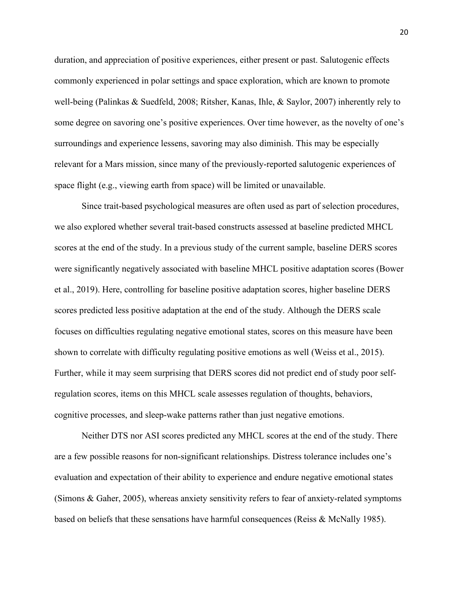duration, and appreciation of positive experiences, either present or past. Salutogenic effects commonly experienced in polar settings and space exploration, which are known to promote well-being (Palinkas & Suedfeld, 2008; Ritsher, Kanas, Ihle, & Saylor, 2007) inherently rely to some degree on savoring one's positive experiences. Over time however, as the novelty of one's surroundings and experience lessens, savoring may also diminish. This may be especially relevant for a Mars mission, since many of the previously-reported salutogenic experiences of space flight (e.g., viewing earth from space) will be limited or unavailable.

Since trait-based psychological measures are often used as part of selection procedures, we also explored whether several trait-based constructs assessed at baseline predicted MHCL scores at the end of the study. In a previous study of the current sample, baseline DERS scores were significantly negatively associated with baseline MHCL positive adaptation scores (Bower et al., 2019). Here, controlling for baseline positive adaptation scores, higher baseline DERS scores predicted less positive adaptation at the end of the study. Although the DERS scale focuses on difficulties regulating negative emotional states, scores on this measure have been shown to correlate with difficulty regulating positive emotions as well (Weiss et al., 2015). Further, while it may seem surprising that DERS scores did not predict end of study poor selfregulation scores, items on this MHCL scale assesses regulation of thoughts, behaviors, cognitive processes, and sleep-wake patterns rather than just negative emotions.

Neither DTS nor ASI scores predicted any MHCL scores at the end of the study. There are a few possible reasons for non-significant relationships. Distress tolerance includes one's evaluation and expectation of their ability to experience and endure negative emotional states (Simons & Gaher, 2005), whereas anxiety sensitivity refers to fear of anxiety-related symptoms based on beliefs that these sensations have harmful consequences (Reiss & McNally 1985).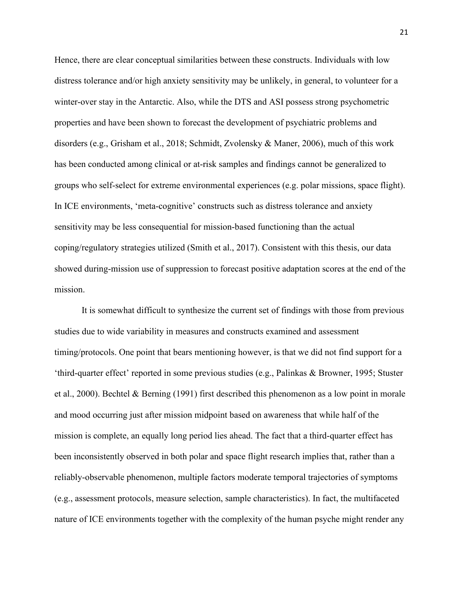Hence, there are clear conceptual similarities between these constructs. Individuals with low distress tolerance and/or high anxiety sensitivity may be unlikely, in general, to volunteer for a winter-over stay in the Antarctic. Also, while the DTS and ASI possess strong psychometric properties and have been shown to forecast the development of psychiatric problems and disorders (e.g., Grisham et al., 2018; Schmidt, Zvolensky & Maner, 2006), much of this work has been conducted among clinical or at-risk samples and findings cannot be generalized to groups who self-select for extreme environmental experiences (e.g. polar missions, space flight). In ICE environments, 'meta-cognitive' constructs such as distress tolerance and anxiety sensitivity may be less consequential for mission-based functioning than the actual coping/regulatory strategies utilized (Smith et al., 2017). Consistent with this thesis, our data showed during-mission use of suppression to forecast positive adaptation scores at the end of the mission.

It is somewhat difficult to synthesize the current set of findings with those from previous studies due to wide variability in measures and constructs examined and assessment timing/protocols. One point that bears mentioning however, is that we did not find support for a 'third-quarter effect' reported in some previous studies (e.g., Palinkas & Browner, 1995; Stuster et al., 2000). Bechtel & Berning (1991) first described this phenomenon as a low point in morale and mood occurring just after mission midpoint based on awareness that while half of the mission is complete, an equally long period lies ahead. The fact that a third-quarter effect has been inconsistently observed in both polar and space flight research implies that, rather than a reliably-observable phenomenon, multiple factors moderate temporal trajectories of symptoms (e.g., assessment protocols, measure selection, sample characteristics). In fact, the multifaceted nature of ICE environments together with the complexity of the human psyche might render any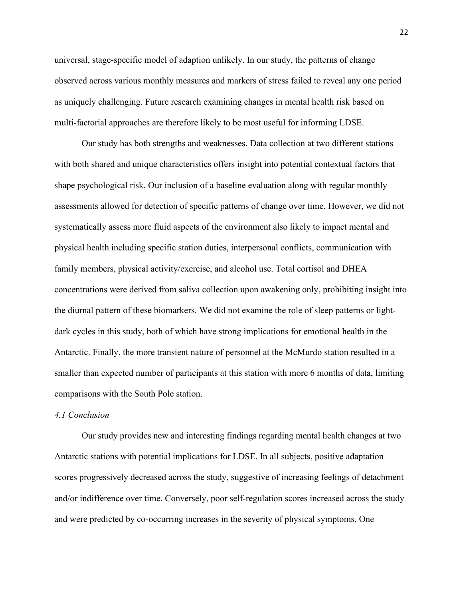universal, stage-specific model of adaption unlikely. In our study, the patterns of change observed across various monthly measures and markers of stress failed to reveal any one period as uniquely challenging. Future research examining changes in mental health risk based on multi-factorial approaches are therefore likely to be most useful for informing LDSE.

Our study has both strengths and weaknesses. Data collection at two different stations with both shared and unique characteristics offers insight into potential contextual factors that shape psychological risk. Our inclusion of a baseline evaluation along with regular monthly assessments allowed for detection of specific patterns of change over time. However, we did not systematically assess more fluid aspects of the environment also likely to impact mental and physical health including specific station duties, interpersonal conflicts, communication with family members, physical activity/exercise, and alcohol use. Total cortisol and DHEA concentrations were derived from saliva collection upon awakening only, prohibiting insight into the diurnal pattern of these biomarkers. We did not examine the role of sleep patterns or lightdark cycles in this study, both of which have strong implications for emotional health in the Antarctic. Finally, the more transient nature of personnel at the McMurdo station resulted in a smaller than expected number of participants at this station with more 6 months of data, limiting comparisons with the South Pole station.

## *4.1 Conclusion*

Our study provides new and interesting findings regarding mental health changes at two Antarctic stations with potential implications for LDSE. In all subjects, positive adaptation scores progressively decreased across the study, suggestive of increasing feelings of detachment and/or indifference over time. Conversely, poor self-regulation scores increased across the study and were predicted by co-occurring increases in the severity of physical symptoms. One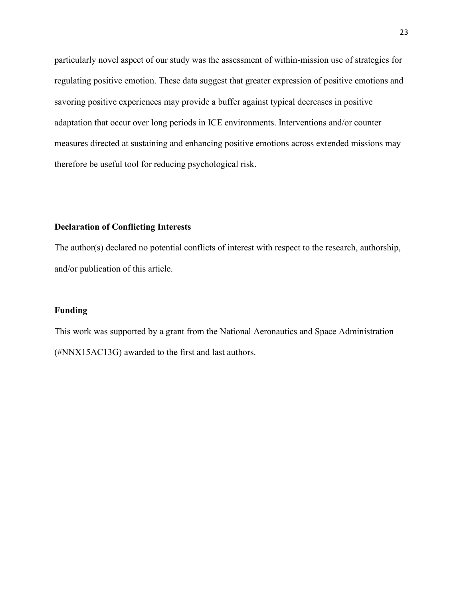particularly novel aspect of our study was the assessment of within-mission use of strategies for regulating positive emotion. These data suggest that greater expression of positive emotions and savoring positive experiences may provide a buffer against typical decreases in positive adaptation that occur over long periods in ICE environments. Interventions and/or counter measures directed at sustaining and enhancing positive emotions across extended missions may therefore be useful tool for reducing psychological risk.

## **Declaration of Conflicting Interests**

The author(s) declared no potential conflicts of interest with respect to the research, authorship, and/or publication of this article.

## **Funding**

This work was supported by a grant from the National Aeronautics and Space Administration (#NNX15AC13G) awarded to the first and last authors.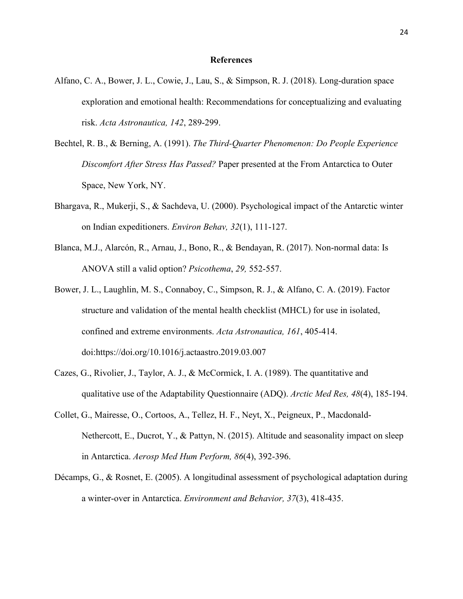### **References**

- Alfano, C. A., Bower, J. L., Cowie, J., Lau, S., & Simpson, R. J. (2018). Long-duration space exploration and emotional health: Recommendations for conceptualizing and evaluating risk. *Acta Astronautica, 142*, 289-299.
- Bechtel, R. B., & Berning, A. (1991). *The Third-Quarter Phenomenon: Do People Experience Discomfort After Stress Has Passed?* Paper presented at the From Antarctica to Outer Space, New York, NY.
- Bhargava, R., Mukerji, S., & Sachdeva, U. (2000). Psychological impact of the Antarctic winter on Indian expeditioners. *Environ Behav, 32*(1), 111-127.
- Blanca, M.J., Alarcón, R., Arnau, J., Bono, R., & Bendayan, R. (2017). Non-normal data: Is ANOVA still a valid option? *Psicothema*, *29,* 552-557.
- Bower, J. L., Laughlin, M. S., Connaboy, C., Simpson, R. J., & Alfano, C. A. (2019). Factor structure and validation of the mental health checklist (MHCL) for use in isolated, confined and extreme environments. *Acta Astronautica, 161*, 405-414. doi:https://doi.org/10.1016/j.actaastro.2019.03.007
- Cazes, G., Rivolier, J., Taylor, A. J., & McCormick, I. A. (1989). The quantitative and qualitative use of the Adaptability Questionnaire (ADQ). *Arctic Med Res, 48*(4), 185-194.
- Collet, G., Mairesse, O., Cortoos, A., Tellez, H. F., Neyt, X., Peigneux, P., Macdonald-Nethercott, E., Ducrot, Y., & Pattyn, N. (2015). Altitude and seasonality impact on sleep in Antarctica. *Aerosp Med Hum Perform, 86*(4), 392-396.
- Décamps, G., & Rosnet, E. (2005). A longitudinal assessment of psychological adaptation during a winter-over in Antarctica. *Environment and Behavior, 37*(3), 418-435.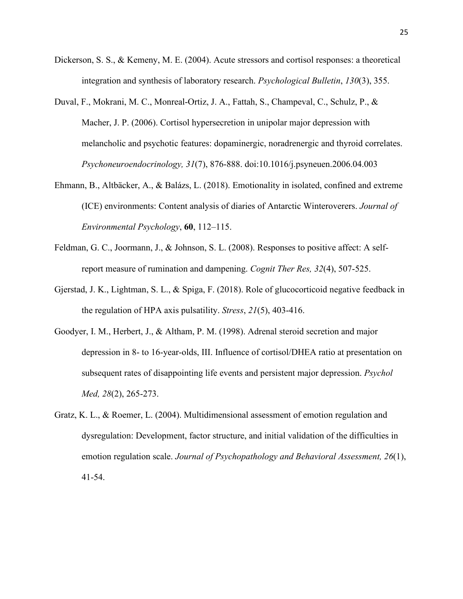- Dickerson, S. S., & Kemeny, M. E. (2004). Acute stressors and cortisol responses: a theoretical integration and synthesis of laboratory research. *Psychological Bulletin*, *130*(3), 355.
- Duval, F., Mokrani, M. C., Monreal-Ortiz, J. A., Fattah, S., Champeval, C., Schulz, P., & Macher, J. P. (2006). Cortisol hypersecretion in unipolar major depression with melancholic and psychotic features: dopaminergic, noradrenergic and thyroid correlates. *Psychoneuroendocrinology, 31*(7), 876-888. doi:10.1016/j.psyneuen.2006.04.003
- Ehmann, B., Altbäcker, A., & Balázs, L. (2018). Emotionality in isolated, confined and extreme (ICE) environments: Content analysis of diaries of Antarctic Winteroverers. *Journal of Environmental Psychology*, **60**, 112–115.
- Feldman, G. C., Joormann, J., & Johnson, S. L. (2008). Responses to positive affect: A selfreport measure of rumination and dampening. *Cognit Ther Res, 32*(4), 507-525.
- Gjerstad, J. K., Lightman, S. L., & Spiga, F. (2018). Role of glucocorticoid negative feedback in the regulation of HPA axis pulsatility. *Stress*, *21*(5), 403-416.
- Goodyer, I. M., Herbert, J., & Altham, P. M. (1998). Adrenal steroid secretion and major depression in 8- to 16-year-olds, III. Influence of cortisol/DHEA ratio at presentation on subsequent rates of disappointing life events and persistent major depression. *Psychol Med, 28*(2), 265-273.
- Gratz, K. L., & Roemer, L. (2004). Multidimensional assessment of emotion regulation and dysregulation: Development, factor structure, and initial validation of the difficulties in emotion regulation scale. *Journal of Psychopathology and Behavioral Assessment, 26*(1), 41-54.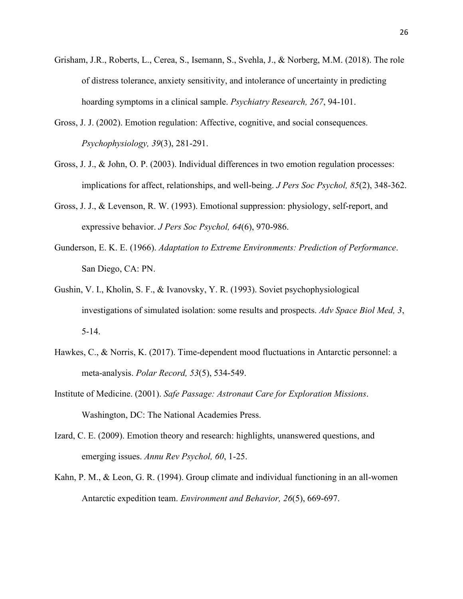- Grisham, J.R., Roberts, L., Cerea, S., Isemann, S., Svehla, J., & Norberg, M.M. (2018). The role of distress tolerance, anxiety sensitivity, and intolerance of uncertainty in predicting hoarding symptoms in a clinical sample. *Psychiatry Research, 267*, 94-101.
- Gross, J. J. (2002). Emotion regulation: Affective, cognitive, and social consequences. *Psychophysiology, 39*(3), 281-291.
- Gross, J. J., & John, O. P. (2003). Individual differences in two emotion regulation processes: implications for affect, relationships, and well-being. *J Pers Soc Psychol, 85*(2), 348-362.
- Gross, J. J., & Levenson, R. W. (1993). Emotional suppression: physiology, self-report, and expressive behavior. *J Pers Soc Psychol, 64*(6), 970-986.
- Gunderson, E. K. E. (1966). *Adaptation to Extreme Environments: Prediction of Performance*. San Diego, CA: PN.
- Gushin, V. I., Kholin, S. F., & Ivanovsky, Y. R. (1993). Soviet psychophysiological investigations of simulated isolation: some results and prospects. *Adv Space Biol Med, 3*, 5-14.
- Hawkes, C., & Norris, K. (2017). Time-dependent mood fluctuations in Antarctic personnel: a meta-analysis. *Polar Record, 53*(5), 534-549.
- Institute of Medicine. (2001). *Safe Passage: Astronaut Care for Exploration Missions*. Washington, DC: The National Academies Press.
- Izard, C. E. (2009). Emotion theory and research: highlights, unanswered questions, and emerging issues. *Annu Rev Psychol, 60*, 1-25.
- Kahn, P. M., & Leon, G. R. (1994). Group climate and individual functioning in an all-women Antarctic expedition team. *Environment and Behavior, 26*(5), 669-697.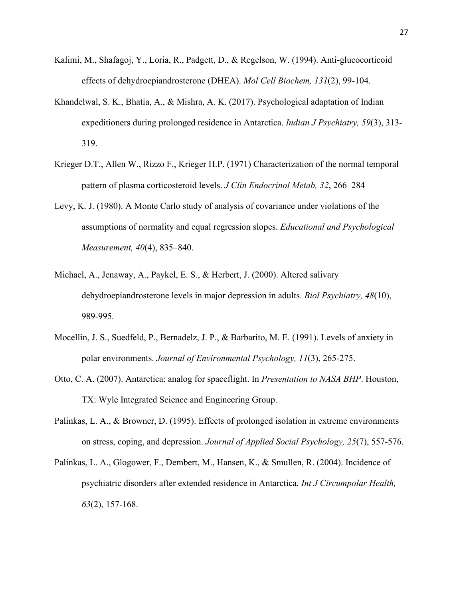- Kalimi, M., Shafagoj, Y., Loria, R., Padgett, D., & Regelson, W. (1994). Anti-glucocorticoid effects of dehydroepiandrosterone (DHEA). *Mol Cell Biochem, 131*(2), 99-104.
- Khandelwal, S. K., Bhatia, A., & Mishra, A. K. (2017). Psychological adaptation of Indian expeditioners during prolonged residence in Antarctica. *Indian J Psychiatry, 59*(3), 313- 319.
- Krieger D.T., Allen W., Rizzo F., Krieger H.P. (1971) Characterization of the normal temporal pattern of plasma corticosteroid levels. *J Clin Endocrinol Metab, 32*, 266–284
- Levy, K. J. (1980). A Monte Carlo study of analysis of covariance under violations of the assumptions of normality and equal regression slopes. *Educational and Psychological Measurement, 40*(4), 835–840.
- Michael, A., Jenaway, A., Paykel, E. S., & Herbert, J. (2000). Altered salivary dehydroepiandrosterone levels in major depression in adults. *Biol Psychiatry, 48*(10), 989-995.
- Mocellin, J. S., Suedfeld, P., Bernadelz, J. P., & Barbarito, M. E. (1991). Levels of anxiety in polar environments. *Journal of Environmental Psychology, 11*(3), 265-275.
- Otto, C. A. (2007). Antarctica: analog for spaceflight. In *Presentation to NASA BHP*. Houston, TX: Wyle Integrated Science and Engineering Group.
- Palinkas, L. A., & Browner, D. (1995). Effects of prolonged isolation in extreme environments on stress, coping, and depression. *Journal of Applied Social Psychology, 25*(7), 557-576.
- Palinkas, L. A., Glogower, F., Dembert, M., Hansen, K., & Smullen, R. (2004). Incidence of psychiatric disorders after extended residence in Antarctica. *Int J Circumpolar Health, 63*(2), 157-168.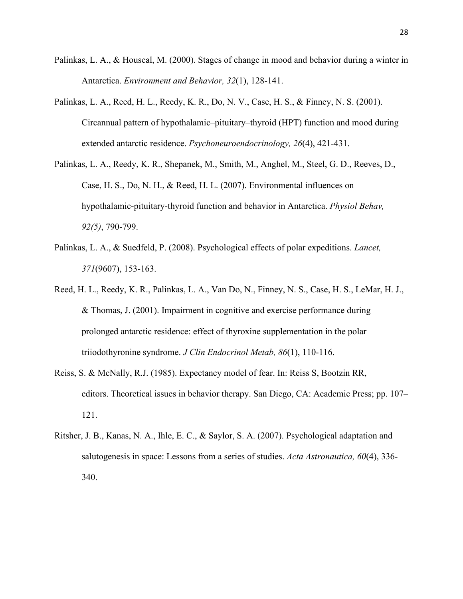- Palinkas, L. A., & Houseal, M. (2000). Stages of change in mood and behavior during a winter in Antarctica. *Environment and Behavior, 32*(1), 128-141.
- Palinkas, L. A., Reed, H. L., Reedy, K. R., Do, N. V., Case, H. S., & Finney, N. S. (2001). Circannual pattern of hypothalamic–pituitary–thyroid (HPT) function and mood during extended antarctic residence. *Psychoneuroendocrinology, 26*(4), 421-431.
- Palinkas, L. A., Reedy, K. R., Shepanek, M., Smith, M., Anghel, M., Steel, G. D., Reeves, D., Case, H. S., Do, N. H., & Reed, H. L. (2007). Environmental influences on hypothalamic-pituitary-thyroid function and behavior in Antarctica. *Physiol Behav, 92(5)*, 790-799.
- Palinkas, L. A., & Suedfeld, P. (2008). Psychological effects of polar expeditions. *Lancet, 371*(9607), 153-163.
- Reed, H. L., Reedy, K. R., Palinkas, L. A., Van Do, N., Finney, N. S., Case, H. S., LeMar, H. J., & Thomas, J. (2001). Impairment in cognitive and exercise performance during prolonged antarctic residence: effect of thyroxine supplementation in the polar triiodothyronine syndrome. *J Clin Endocrinol Metab, 86*(1), 110-116.
- Reiss, S. & McNally, R.J. (1985). Expectancy model of fear. In: Reiss S, Bootzin RR, editors. Theoretical issues in behavior therapy. San Diego, CA: Academic Press; pp. 107– 121.
- Ritsher, J. B., Kanas, N. A., Ihle, E. C., & Saylor, S. A. (2007). Psychological adaptation and salutogenesis in space: Lessons from a series of studies. *Acta Astronautica, 60*(4), 336- 340.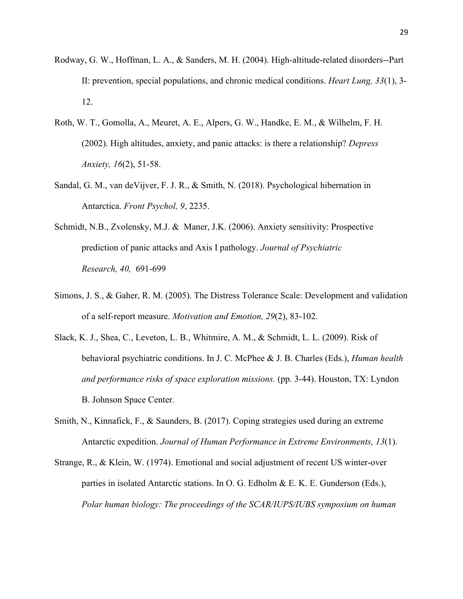- Rodway, G. W., Hoffman, L. A., & Sanders, M. H. (2004). High-altitude-related disorders--Part II: prevention, special populations, and chronic medical conditions. *Heart Lung, 33*(1), 3- 12.
- Roth, W. T., Gomolla, A., Meuret, A. E., Alpers, G. W., Handke, E. M., & Wilhelm, F. H. (2002). High altitudes, anxiety, and panic attacks: is there a relationship? *Depress Anxiety, 16*(2), 51-58.
- Sandal, G. M., van deVijver, F. J. R., & Smith, N. (2018). Psychological hibernation in Antarctica. *Front Psychol, 9*, 2235.
- Schmidt, N.B., Zvolensky, M.J. & Maner, J.K. (2006). Anxiety sensitivity: Prospective prediction of panic attacks and Axis I pathology. *Journal of Psychiatric Research, 40,* 691-699
- Simons, J. S., & Gaher, R. M. (2005). The Distress Tolerance Scale: Development and validation of a self-report measure. *Motivation and Emotion, 29*(2), 83-102.
- Slack, K. J., Shea, C., Leveton, L. B., Whitmire, A. M., & Schmidt, L. L. (2009). Risk of behavioral psychiatric conditions. In J. C. McPhee & J. B. Charles (Eds.), *Human health and performance risks of space exploration missions.* (pp. 3-44). Houston, TX: Lyndon B. Johnson Space Center.
- Smith, N., Kinnafick, F., & Saunders, B. (2017). Coping strategies used during an extreme Antarctic expedition. *Journal of Human Performance in Extreme Environments, 13*(1).
- Strange, R., & Klein, W. (1974). Emotional and social adjustment of recent US winter-over parties in isolated Antarctic stations. In O. G. Edholm & E. K. E. Gunderson (Eds.), *Polar human biology: The proceedings of the SCAR/IUPS/IUBS symposium on human*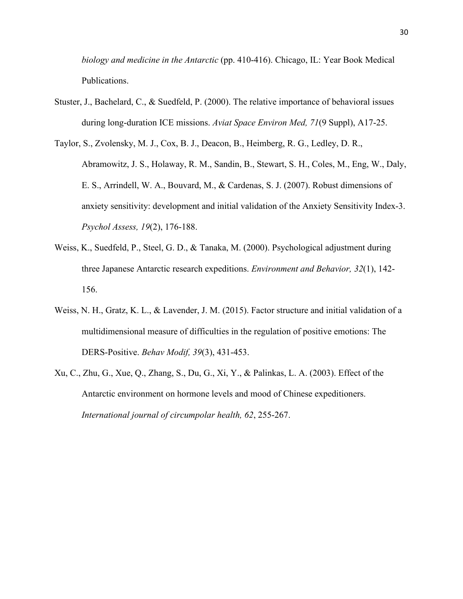*biology and medicine in the Antarctic* (pp. 410-416). Chicago, IL: Year Book Medical Publications.

- Stuster, J., Bachelard, C., & Suedfeld, P. (2000). The relative importance of behavioral issues during long-duration ICE missions. *Aviat Space Environ Med, 71*(9 Suppl), A17-25.
- Taylor, S., Zvolensky, M. J., Cox, B. J., Deacon, B., Heimberg, R. G., Ledley, D. R., Abramowitz, J. S., Holaway, R. M., Sandin, B., Stewart, S. H., Coles, M., Eng, W., Daly, E. S., Arrindell, W. A., Bouvard, M., & Cardenas, S. J. (2007). Robust dimensions of anxiety sensitivity: development and initial validation of the Anxiety Sensitivity Index-3. *Psychol Assess, 19*(2), 176-188.
- Weiss, K., Suedfeld, P., Steel, G. D., & Tanaka, M. (2000). Psychological adjustment during three Japanese Antarctic research expeditions. *Environment and Behavior, 32*(1), 142- 156.
- Weiss, N. H., Gratz, K. L., & Lavender, J. M. (2015). Factor structure and initial validation of a multidimensional measure of difficulties in the regulation of positive emotions: The DERS-Positive. *Behav Modif, 39*(3), 431-453.
- Xu, C., Zhu, G., Xue, Q., Zhang, S., Du, G., Xi, Y., & Palinkas, L. A. (2003). Effect of the Antarctic environment on hormone levels and mood of Chinese expeditioners. *International journal of circumpolar health, 62*, 255-267.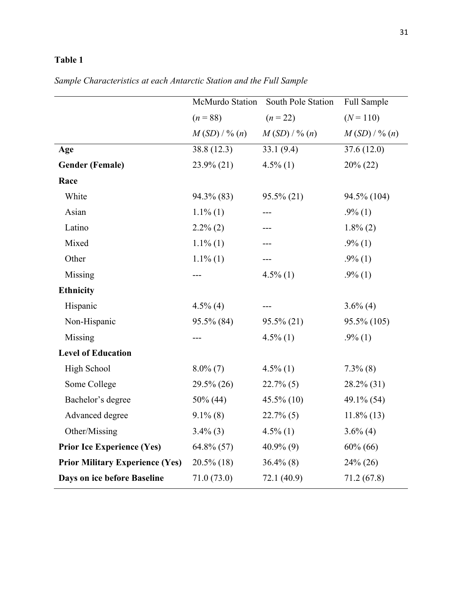| Sample Characteristics at each Antarctic Station and the Full Sample |  |  |
|----------------------------------------------------------------------|--|--|
|----------------------------------------------------------------------|--|--|

|                                        | McMurdo Station | South Pole Station | Full Sample    |  |
|----------------------------------------|-----------------|--------------------|----------------|--|
|                                        | $(n = 88)$      | $(n = 22)$         | $(N = 110)$    |  |
|                                        | $M(SD)/\% (n)$  | $M(SD)/\% (n)$     | $M(SD)/\% (n)$ |  |
| Age                                    | 38.8 (12.3)     | 33.1(9.4)          | 37.6(12.0)     |  |
| <b>Gender (Female)</b>                 | 23.9% (21)      | $4.5\%$ (1)        | $20\% (22)$    |  |
| Race                                   |                 |                    |                |  |
| White                                  | 94.3% (83)      | $95.5\% (21)$      | 94.5% (104)    |  |
| Asian                                  | $1.1\%$ (1)     | ---                | $.9\%$ (1)     |  |
| Latino                                 | $2.2\%$ (2)     |                    | $1.8\%$ (2)    |  |
| Mixed                                  | $1.1\%$ (1)     | ---                | $.9\%$ (1)     |  |
| Other                                  | $1.1\%$ (1)     |                    | $.9\%$ (1)     |  |
| Missing                                |                 | $4.5\%$ (1)        | $.9\%$ (1)     |  |
| <b>Ethnicity</b>                       |                 |                    |                |  |
| Hispanic                               | $4.5\%$ (4)     |                    | $3.6\%$ (4)    |  |
| Non-Hispanic                           | 95.5% (84)      | $95.5\% (21)$      | 95.5% (105)    |  |
| Missing                                | $---$           | $4.5\%$ (1)        | $.9\%$ (1)     |  |
| <b>Level of Education</b>              |                 |                    |                |  |
| High School                            | $8.0\%$ (7)     | $4.5\%$ (1)        | $7.3\%$ (8)    |  |
| Some College                           | $29.5\% (26)$   | $22.7\%$ (5)       | $28.2\%$ (31)  |  |
| Bachelor's degree                      | $50\%$ (44)     | $45.5\%$ (10)      | 49.1% (54)     |  |
| Advanced degree                        | $9.1\%$ (8)     | $22.7\%$ (5)       | $11.8\%$ (13)  |  |
| Other/Missing                          | $3.4\%$ (3)     | $4.5\%$ (1)        | $3.6\%$ (4)    |  |
| <b>Prior Ice Experience (Yes)</b>      | $64.8\%$ (57)   | $40.9\%$ (9)       | $60\% (66)$    |  |
| <b>Prior Military Experience (Yes)</b> | $20.5\%$ (18)   | $36.4\%$ (8)       | $24\% (26)$    |  |
| Days on ice before Baseline            | 71.0(73.0)      | 72.1(40.9)         | 71.2(67.8)     |  |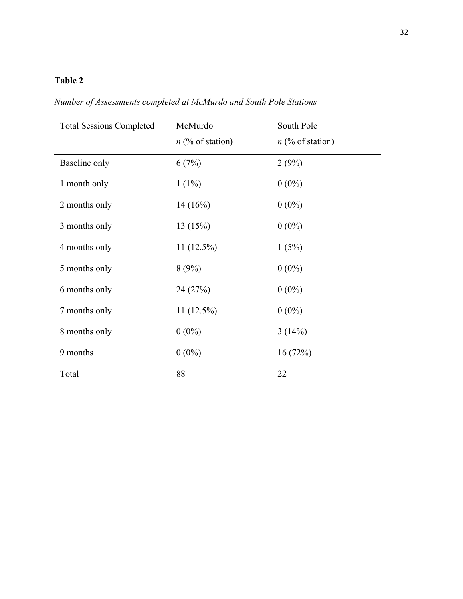| <b>Total Sessions Completed</b> | McMurdo            | South Pole         |
|---------------------------------|--------------------|--------------------|
|                                 | $n$ (% of station) | $n$ (% of station) |
| Baseline only                   | 6(7%)              | 2(9%)              |
| 1 month only                    | $1(1\%)$           | $0(0\%)$           |
| 2 months only                   | 14(16%)            | $0(0\%)$           |
| 3 months only                   | 13 (15%)           | $0(0\%)$           |
| 4 months only                   | $11(12.5\%)$       | 1(5%)              |
| 5 months only                   | 8(9%)              | $0(0\%)$           |
| 6 months only                   | 24 (27%)           | $0(0\%)$           |
| 7 months only                   | 11 (12.5%)         | $0(0\%)$           |
| 8 months only                   | $0(0\%)$           | 3(14%)             |
| 9 months                        | $0(0\%)$           | 16(72%)            |
| Total                           | 88                 | 22                 |

*Number of Assessments completed at McMurdo and South Pole Stations*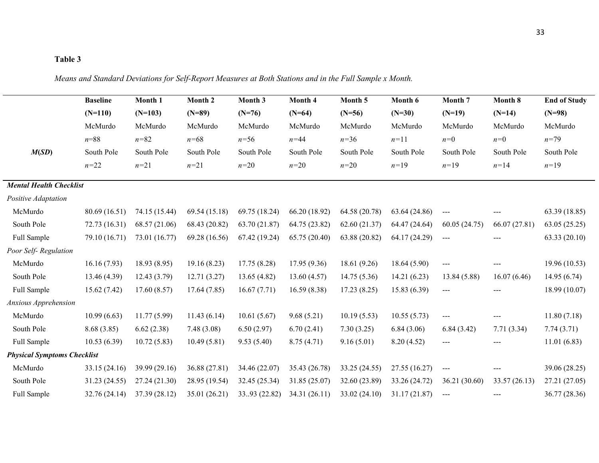*Means and Standard Deviations for Self-Report Measures at Both Stations and in the Full Sample x Month.* 

|                                    | <b>Baseline</b> | Month 1       | Month 2       | Month 3       | Month 4       | Month 5       | Month 6       | Month 7       | Month 8       | <b>End of Study</b> |
|------------------------------------|-----------------|---------------|---------------|---------------|---------------|---------------|---------------|---------------|---------------|---------------------|
|                                    | $(N=110)$       | $(N=103)$     | $(N=89)$      | $(N=76)$      | $(N=64)$      | $(N=56)$      | $(N=30)$      | $(N=19)$      | $(N=14)$      | $(N=98)$            |
|                                    | McMurdo         | McMurdo       | McMurdo       | McMurdo       | McMurdo       | McMurdo       | McMurdo       | McMurdo       | McMurdo       | McMurdo             |
|                                    | $n = 88$        | $n = 82$      | $n = 68$      | $n = 56$      | $n = 44$      | $n = 36$      | $n=11$        | $n=0$         | $n=0$         | $n = 79$            |
| M(SD)                              | South Pole      | South Pole    | South Pole    | South Pole    | South Pole    | South Pole    | South Pole    | South Pole    | South Pole    | South Pole          |
|                                    | $n = 22$        | $n = 21$      | $n = 21$      | $n = 20$      | $n = 20$      | $n = 20$      | $n=19$        | $n=19$        | $n = 14$      | $n=19$              |
| <b>Mental Health Checklist</b>     |                 |               |               |               |               |               |               |               |               |                     |
| Positive Adaptation                |                 |               |               |               |               |               |               |               |               |                     |
| McMurdo                            | 80.69 (16.51)   | 74.15 (15.44) | 69.54 (15.18) | 69.75 (18.24) | 66.20 (18.92) | 64.58 (20.78) | 63.64 (24.86) | $---$         |               | 63.39 (18.85)       |
| South Pole                         | 72.73 (16.31)   | 68.57 (21.06) | 68.43 (20.82) | 63.70 (21.87) | 64.75 (23.82) | 62.60(21.37)  | 64.47 (24.64) | 60.05(24.75)  | 66.07(27.81)  | 63.05(25.25)        |
| Full Sample                        | 79.10 (16.71)   | 73.01 (16.77) | 69.28 (16.56) | 67.42 (19.24) | 65.75 (20.40) | 63.88 (20.82) | 64.17 (24.29) | $--$          |               | 63.33(20.10)        |
| Poor Self-Regulation               |                 |               |               |               |               |               |               |               |               |                     |
| McMurdo                            | 16.16(7.93)     | 18.93 (8.95)  | 19.16(8.23)   | 17.75(8.28)   | 17.95(9.36)   | 18.61(9.26)   | 18.64 (5.90)  | $--$          |               | 19.96 (10.53)       |
| South Pole                         | 13.46 (4.39)    | 12.43(3.79)   | 12.71(3.27)   | 13.65(4.82)   | 13.60(4.57)   | 14.75(5.36)   | 14.21(6.23)   | 13.84 (5.88)  | 16.07(6.46)   | 14.95(6.74)         |
| Full Sample                        | 15.62(7.42)     | 17.60(8.57)   | 17.64(7.85)   | 16.67(7.71)   | 16.59(8.38)   | 17.23(8.25)   | 15.83 (6.39)  | $--$          |               | 18.99 (10.07)       |
| Anxious Apprehension               |                 |               |               |               |               |               |               |               |               |                     |
| McMurdo                            | 10.99(6.63)     | 11.77(5.99)   | 11.43(6.14)   | 10.61(5.67)   | 9.68(5.21)    | 10.19(5.53)   | 10.55(5.73)   | $\sim$ $\sim$ |               | 11.80(7.18)         |
| South Pole                         | 8.68(3.85)      | 6.62(2.38)    | 7.48(3.08)    | 6.50(2.97)    | 6.70(2.41)    | 7.30(3.25)    | 6.84(3.06)    | 6.84(3.42)    | 7.71(3.34)    | 7.74(3.71)          |
| Full Sample                        | 10.53(6.39)     | 10.72(5.83)   | 10.49(5.81)   | 9.53(5.40)    | 8.75(4.71)    | 9.16(5.01)    | 8.20(4.52)    | $---$         | $\frac{1}{2}$ | 11.01(6.83)         |
| <b>Physical Symptoms Checklist</b> |                 |               |               |               |               |               |               |               |               |                     |
| McMurdo                            | 33.15 (24.16)   | 39.99 (29.16) | 36.88 (27.81) | 34.46 (22.07) | 35.43 (26.78) | 33.25 (24.55) | 27.55 (16.27) | $---$         | $---$         | 39.06 (28.25)       |
| South Pole                         | 31.23 (24.55)   | 27.24 (21.30) | 28.95 (19.54) | 32.45 (25.34) | 31.85 (25.07) | 32.60 (23.89) | 33.26 (24.72) | 36.21 (30.60) | 33.57 (26.13) | 27.21 (27.05)       |
| Full Sample                        | 32.76 (24.14)   | 37.39 (28.12) | 35.01 (26.21) | 33.93 (22.82) | 34.31 (26.11) | 33.02 (24.10) | 31.17 (21.87) | $---$         |               | 36.77 (28.36)       |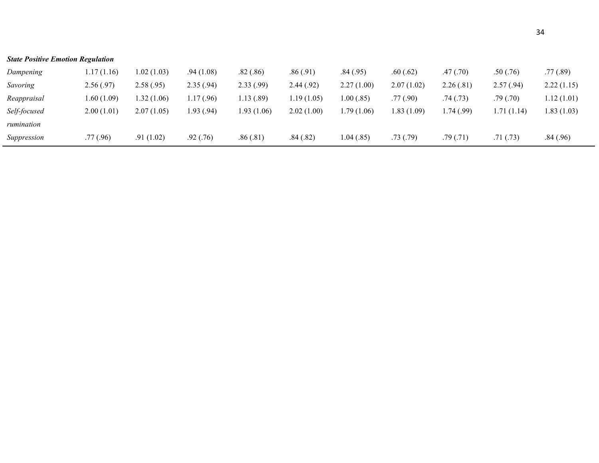| <b>State Positive Emotion Regulation</b> |             |             |            |             |            |            |             |            |             |            |
|------------------------------------------|-------------|-------------|------------|-------------|------------|------------|-------------|------------|-------------|------------|
| Dampening                                | 1.17 (1.16) | 1.02 (1.03) | .94(1.08)  | .82(.86)    | .86(.91)   | .84(.95)   | .60(.62)    | .47 (.70)  | .50(.76)    | .77(0.89)  |
| Savoring                                 | 2.56(.97)   | 2.58(.95)   | 2.35(.94)  | 2.33(.99)   | 2.44(0.92) | 2.27(1.00) | 2.07(1.02)  | 2.26(.81)  | 2.57(.94)   | 2.22(1.15) |
| Reappraisal                              | 1.60(1.09)  | 1.32(1.06)  | 1.17(0.96) | 1.13(0.89)  | 1.19(1.05) | 1.00(.85)  | .77(0.90)   | .74(.73)   | .79(.70)    | 1.12(1.01) |
| Self-focused                             | 2.00(1.01)  | 2.07(1.05)  | 1.93(0.94) | 1.93 (1.06) | 2.02(1.00) | 1.79(1.06) | 1.83 (1.09) | 1.74(0.99) | 1.71 (1.14) | 1.83(1.03) |
| rumination                               |             |             |            |             |            |            |             |            |             |            |
| Suppression                              | .77(0.96)   | .91(1.02)   | .92(.76)   | .86(.81)    | .84(.82)   | 1.04(.85)  | .73(.79)    | .79(0.71)  | .71(0.73)   | .84(.96)   |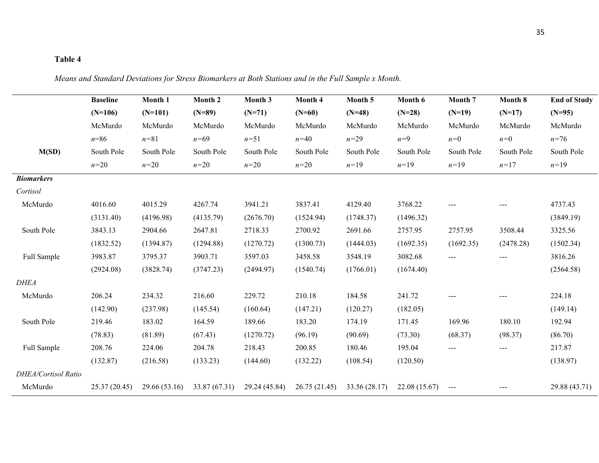*Means and Standard Deviations for Stress Biomarkers at Both Stations and in the Full Sample x Month.*

|                     | <b>Baseline</b> | Month 1       | Month 2       | Month 3       | Month 4      | Month 5       | Month 6       | Month 7    | Month 8    | <b>End of Study</b> |
|---------------------|-----------------|---------------|---------------|---------------|--------------|---------------|---------------|------------|------------|---------------------|
|                     | $(N=106)$       | $(N=101)$     | $(N=89)$      | $(N=71)$      | $(N=60)$     | $(N=48)$      | $(N=28)$      | $(N=19)$   | $(N=17)$   | $(N=95)$            |
|                     | McMurdo         | McMurdo       | McMurdo       | McMurdo       | McMurdo      | McMurdo       | McMurdo       | McMurdo    | McMurdo    | McMurdo             |
|                     | $n = 86$        | $n = 81$      | $n = 69$      | $n = 51$      | $n=40$       | $n = 29$      | $n=9$         | $n=0$      | $n=0$      | $n = 76$            |
| M(SD)               | South Pole      | South Pole    | South Pole    | South Pole    | South Pole   | South Pole    | South Pole    | South Pole | South Pole | South Pole          |
|                     | $n=20$          | $n = 20$      | $n=20$        | $n=20$        | $n=20$       | $n=19$        | $n=19$        | $n=19$     | $n=17$     | $n=19$              |
| <b>Biomarkers</b>   |                 |               |               |               |              |               |               |            |            |                     |
| Cortisol            |                 |               |               |               |              |               |               |            |            |                     |
| McMurdo             | 4016.60         | 4015.29       | 4267.74       | 3941.21       | 3837.41      | 4129.40       | 3768.22       | $---$      |            | 4737.43             |
|                     | (3131.40)       | (4196.98)     | (4135.79)     | (2676.70)     | (1524.94)    | (1748.37)     | (1496.32)     |            |            | (3849.19)           |
| South Pole          | 3843.13         | 2904.66       | 2647.81       | 2718.33       | 2700.92      | 2691.66       | 2757.95       | 2757.95    | 3508.44    | 3325.56             |
|                     | (1832.52)       | (1394.87)     | (1294.88)     | (1270.72)     | (1300.73)    | (1444.03)     | (1692.35)     | (1692.35)  | (2478.28)  | (1502.34)           |
| Full Sample         | 3983.87         | 3795.37       | 3903.71       | 3597.03       | 3458.58      | 3548.19       | 3082.68       | ---        | ---        | 3816.26             |
|                     | (2924.08)       | (3828.74)     | (3747.23)     | (2494.97)     | (1540.74)    | (1766.01)     | (1674.40)     |            |            | (2564.58)           |
| <b>DHEA</b>         |                 |               |               |               |              |               |               |            |            |                     |
| McMurdo             | 206.24          | 234.32        | 216.60        | 229.72        | 210.18       | 184.58        | 241.72        | $---$      |            | 224.18              |
|                     | (142.90)        | (237.98)      | (145.54)      | (160.64)      | (147.21)     | (120.27)      | (182.05)      |            |            | (149.14)            |
| South Pole          | 219.46          | 183.02        | 164.59        | 189.66        | 183.20       | 174.19        | 171.45        | 169.96     | 180.10     | 192.94              |
|                     | (78.83)         | (81.89)       | (67.43)       | (1270.72)     | (96.19)      | (90.69)       | (73.30)       | (68.37)    | (98.37)    | (86.70)             |
| Full Sample         | 208.76          | 224.06        | 204.78        | 218.43        | 200.85       | 180.46        | 195.04        | $---$      | ---        | 217.87              |
|                     | (132.87)        | (216.58)      | (133.23)      | (144.60)      | (132.22)     | (108.54)      | (120.50)      |            |            | (138.97)            |
| DHEA/Cortisol Ratio |                 |               |               |               |              |               |               |            |            |                     |
| McMurdo             | 25.37(20.45)    | 29.66 (53.16) | 33.87 (67.31) | 29.24 (45.84) | 26.75(21.45) | 33.56 (28.17) | 22.08 (15.67) | $---$      | ---        | 29.88 (43.71)       |